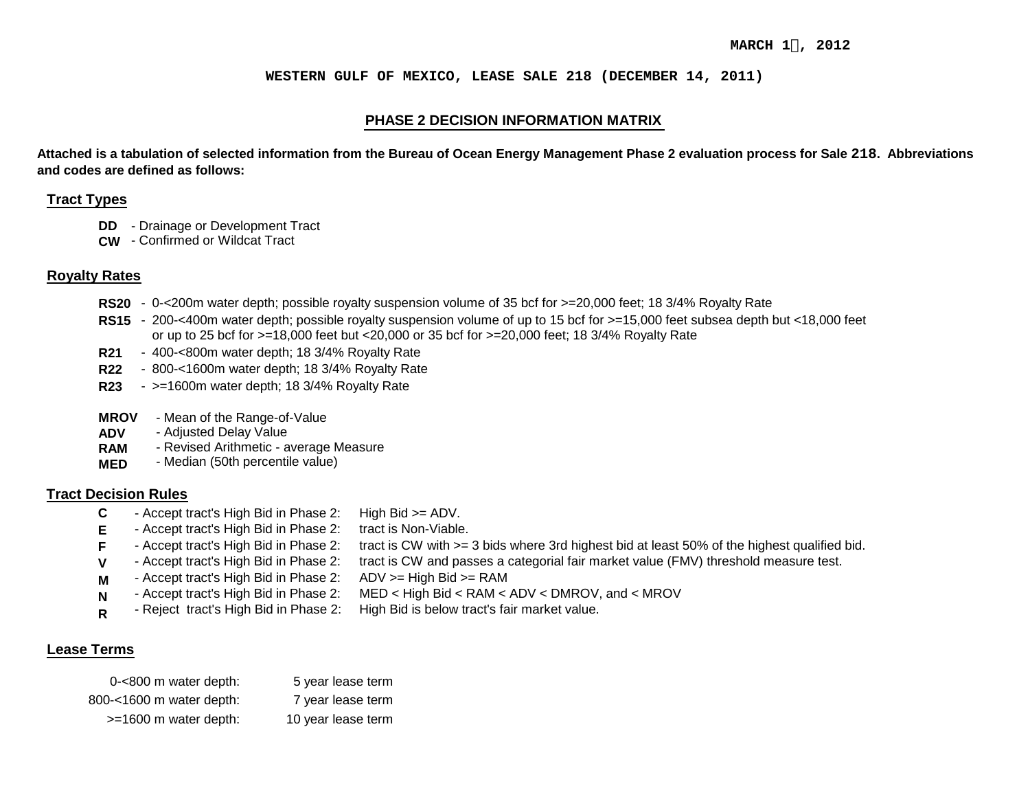### **WESTERN GULF OF MEXICO, LEASE SALE 218 (DECEMBER 14, 2011)**

# **PHASE 2 DECISION INFORMATION MATRIX**

**Attached is a tabulation of selected information from the Bureau of Ocean Energy Management Phase 2 evaluation process for Sale 218. Abbreviations and codes are defined as follows:**

### **Tract Types**

- **DD**  - Drainage or Development Tract
- **CW**  - Confirmed or Wildcat Tract

# **Royalty Rates**

- **RS20** - 0-<200m water depth; possible royalty suspension volume of 35 bcf for >=20,000 feet; 18 3/4% Royalty Rate
- RS15 200-<400m water depth; possible royalty suspension volume of up to 15 bcf for >=15,000 feet subsea depth but <18,000 feet or up to 25 bcf for >=18,000 feet but <20,000 or 35 bcf for >=20,000 feet; 18 3/4% Royalty Rate
- **R21** - 400-<800m water depth; 18 3/4% Royalty Rate
- **R22** - 800-<1600m water depth; 18 3/4% Royalty Rate
- **R23** - >=1600m water depth; 18 3/4% Royalty Rate
- **MROV**  - Mean of the Range-of-Value
- **ADV**  - Adjusted Delay Value
- **RAM** - Revised Arithmetic - average Measure
- **MED** - Median (50th percentile value)

## **Tract Decision Rules**

**F V**

- **C** - Accept tract's High Bid in Phase 2: High  $Big \gt = ADV$ .
- **E** - Accept tract's High Bid in Phase 2: tract is Non-Viable.
	- Accept tract's High Bid in Phase 2: tract is CW with >= 3 bids where 3rd highest bid at least 50% of the highest qualified bid.
	- Accept tract's High Bid in Phase 2: tract is CW and passes a categorial fair market value (FMV) threshold measure test.
- **M** - Accept tract's High Bid in Phase 2:  $ADV$  >= High Bid >= RAM
	- Accept tract's High Bid in Phase 2: MED < High Bid < RAM < ADV < DMROV, and < MROV
- **N R**  - Reject tract's High Bid in Phase 2: High Bid is below tract's fair market value.

# **Lease Terms**

| 0-<800 m water depth:    | 5 year lease term  |
|--------------------------|--------------------|
| 800-<1600 m water depth: | 7 year lease term  |
| $>=1600$ m water depth:  | 10 year lease term |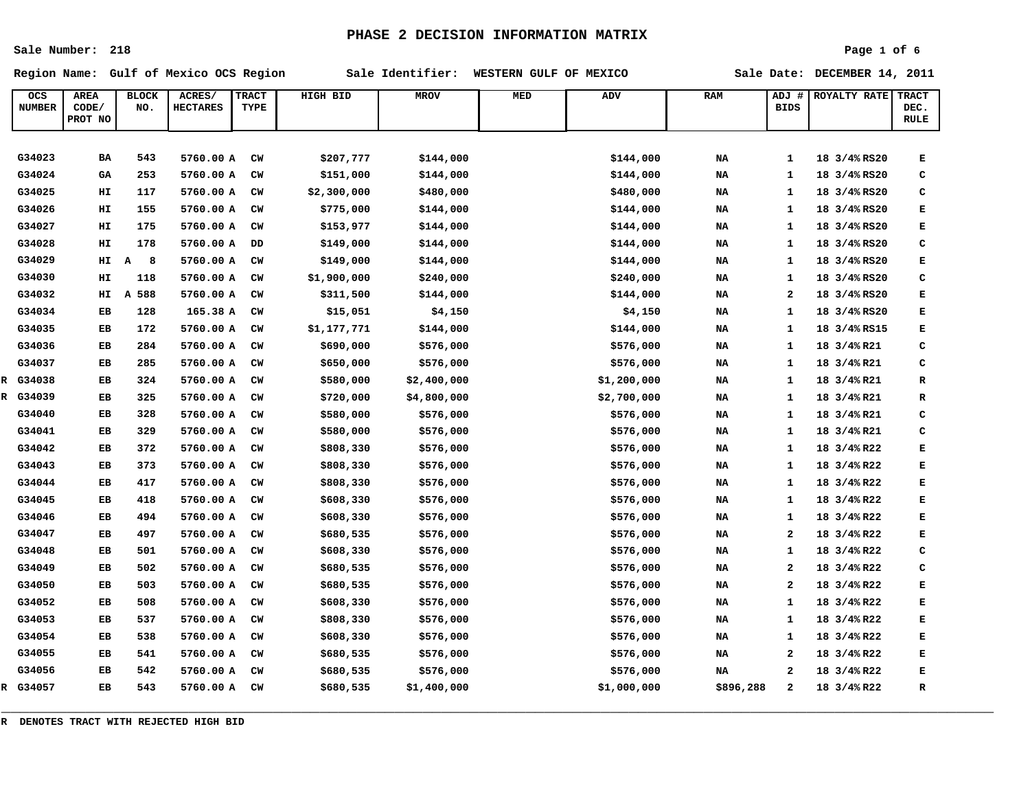**Sale Number: 218**

#### **Page 1 of 6**

**Region Name: Gulf of Mexico OCS Region Sale Identifier: WESTERN GULF OF MEXICO Sale Date: DECEMBER 14, 2011**

| OCS<br><b>NUMBER</b> | <b>AREA</b><br>CODE/<br>PROT NO | <b>BLOCK</b><br>NO. | ACRES/<br><b>HECTARES</b> | <b>TRACT</b><br>TYPE | HIGH BID    | <b>MROV</b> | MED | ADV         | <b>RAM</b> | ADJ #<br><b>BIDS</b>    | ROYALTY RATE | <b>TRACT</b><br>DEC.<br><b>RULE</b> |
|----------------------|---------------------------------|---------------------|---------------------------|----------------------|-------------|-------------|-----|-------------|------------|-------------------------|--------------|-------------------------------------|
|                      |                                 |                     |                           |                      |             |             |     |             |            |                         |              |                                     |
| G34023               | BA                              | 543                 | 5760.00 A                 | CW                   | \$207,777   | \$144,000   |     | \$144,000   | NA         | $\mathbf{1}$            | 18 3/4% RS20 | Е                                   |
| G34024               | <b>GA</b>                       | 253                 | 5760.00 A                 | CW                   | \$151,000   | \$144,000   |     | \$144,000   | NA         | $\mathbf{1}$            | 18 3/4% RS20 | c                                   |
| G34025               | HТ                              | 117                 | 5760.00 A                 | CW                   | \$2,300,000 | \$480,000   |     | \$480,000   | NA         | 1                       | 18 3/4% RS20 | с                                   |
| G34026               | HІ                              | 155                 | 5760.00 A                 | CW                   | \$775,000   | \$144,000   |     | \$144,000   | NA         | 1                       | 18 3/4% RS20 | Е                                   |
| G34027               | HІ                              | 175                 | 5760.00 A                 | CW                   | \$153,977   | \$144,000   |     | \$144,000   | NA         | $\mathbf{1}$            | 18 3/4% RS20 | Е                                   |
| G34028               | HІ                              | 178                 | 5760.00 A                 | DD                   | \$149,000   | \$144,000   |     | \$144,000   | NA         | 1                       | 18 3/4% RS20 | C                                   |
| G34029               | HI                              | $\mathbf{A}$<br>8   | 5760.00 A                 | CW                   | \$149,000   | \$144,000   |     | \$144,000   | NA         | 1                       | 18 3/4% RS20 | Е                                   |
| G34030               | HТ                              | 118                 | 5760.00 A                 | CW                   | \$1,900,000 | \$240,000   |     | \$240,000   | <b>NA</b>  | $\mathbf{1}$            | 18 3/4% RS20 | c                                   |
| G34032               | HІ                              | A 588               | 5760.00 A                 | CW                   | \$311,500   | \$144,000   |     | \$144,000   | NA         | 2                       | 18 3/4% RS20 | Е                                   |
| G34034               | EB                              | 128                 | 165.38 A                  | $cm$                 | \$15,051    | \$4,150     |     | \$4,150     | NA         | $\mathbf{1}$            | 18 3/4% RS20 | Е                                   |
| G34035               | EB                              | 172                 | 5760.00 A                 | CW                   | \$1,177,771 | \$144,000   |     | \$144,000   | NA         | $\mathbf{1}$            | 18 3/4% RS15 | E                                   |
| G34036               | EB                              | 284                 | 5760.00 A                 | CW                   | \$690,000   | \$576,000   |     | \$576,000   | <b>NA</b>  | 1                       | 18 3/4% R21  | c                                   |
| G34037               | EB                              | 285                 | 5760.00 A                 | $cm$                 | \$650,000   | \$576,000   |     | \$576,000   | NA         | 1                       | 18 3/4%R21   | C                                   |
| R G34038             | EB                              | 324                 | 5760.00 A                 | $cm$                 | \$580,000   | \$2,400,000 |     | \$1,200,000 | NA         | $\mathbf{1}$            | 18 3/4% R21  | $\mathbf R$                         |
| R G34039             | EB                              | 325                 | 5760.00 A                 | CW                   | \$720,000   | \$4,800,000 |     | \$2,700,000 | NA         | 1                       | 18 3/4% R21  | R                                   |
| G34040               | EB                              | 328                 | 5760.00 A                 | CW                   | \$580,000   | \$576,000   |     | \$576,000   | NA         | $\mathbf{1}$            | 18 3/4% R21  | C                                   |
| G34041               | EB                              | 329                 | 5760.00 A                 | CW                   | \$580,000   | \$576,000   |     | \$576,000   | <b>NA</b>  | 1                       | 18 3/4% R21  | с                                   |
| G34042               | EB                              | 372                 | 5760.00 A                 | CW                   | \$808,330   | \$576,000   |     | \$576,000   | NA         | 1                       | 18 3/4% R22  | E                                   |
| G34043               | EB                              | 373                 | 5760.00 A                 | $cm$                 | \$808,330   | \$576,000   |     | \$576,000   | NA         | 1                       | 18 3/4% R22  | E                                   |
| G34044               | EB                              | 417                 | 5760.00 A                 | CW                   | \$808,330   | \$576,000   |     | \$576,000   | NA         | 1                       | 18 3/4% R22  | E                                   |
| G34045               | EB                              | 418                 | 5760.00 A                 | CW                   | \$608,330   | \$576,000   |     | \$576,000   | NA         | 1                       | 18 3/4% R22  | Е                                   |
| G34046               | EB                              | 494                 | 5760.00 A                 | CW                   | \$608,330   | \$576,000   |     | \$576,000   | NA         | 1                       | 18 3/4% R22  | E                                   |
| G34047               | EB                              | 497                 | 5760.00 A                 | CW                   | \$680,535   | \$576,000   |     | \$576,000   | NA         | 2                       | 18 3/4% R22  | Е                                   |
| G34048               | EB                              | 501                 | 5760.00 A                 | CW                   | \$608,330   | \$576,000   |     | \$576,000   | NA         | 1                       | 18 3/4% R22  | c                                   |
| G34049               | EB                              | 502                 | 5760.00 A                 | CW                   | \$680,535   | \$576,000   |     | \$576,000   | NA         | $\overline{\mathbf{2}}$ | 18 3/4% R22  | C                                   |
| G34050               | EB                              | 503                 | 5760.00 A                 | CW                   | \$680,535   | \$576,000   |     | \$576,000   | NA         | 2                       | 18 3/4% R22  | Е                                   |
| G34052               | EB                              | 508                 | 5760.00 A                 | CW                   | \$608,330   | \$576,000   |     | \$576,000   | NA         | $\mathbf{1}$            | 18 3/4% R22  | Е                                   |
| G34053               | EB                              | 537                 | 5760.00 A                 | CW                   | \$808,330   | \$576,000   |     | \$576,000   | NA         | $\mathbf{1}$            | 18 3/4% R22  | Е                                   |
| G34054               | EB                              | 538                 | 5760.00 A                 | CW                   | \$608,330   | \$576,000   |     | \$576,000   | NA         | 1                       | 18 3/4% R22  | Е                                   |
| G34055               | EB                              | 541                 | 5760.00 A                 | CW                   | \$680,535   | \$576,000   |     | \$576,000   | NA         | $\overline{\mathbf{2}}$ | 18 3/4% R22  | Е                                   |
| G34056               | EB                              | 542                 | 5760.00 A                 | CW                   | \$680,535   | \$576,000   |     | \$576,000   | NA         | $\mathbf{z}$            | 18 3/4% R22  | Е                                   |
| R G34057             | EB                              | 543                 | 5760.00 A                 | CW                   | \$680,535   | \$1,400,000 |     | \$1,000,000 | \$896,288  | $\overline{2}$          | 18 3/4% R22  | R                                   |

**\_\_\_\_\_\_\_\_\_\_\_\_\_\_\_\_\_\_\_\_\_\_\_\_\_\_\_\_\_\_\_\_\_\_\_\_\_\_\_\_\_\_\_\_\_\_\_\_\_\_\_\_\_\_\_\_\_\_\_\_\_\_\_\_\_\_\_\_\_\_\_\_\_\_\_\_\_\_\_\_\_\_\_\_\_\_\_\_\_\_\_\_\_\_\_\_\_\_\_\_\_\_\_\_\_\_**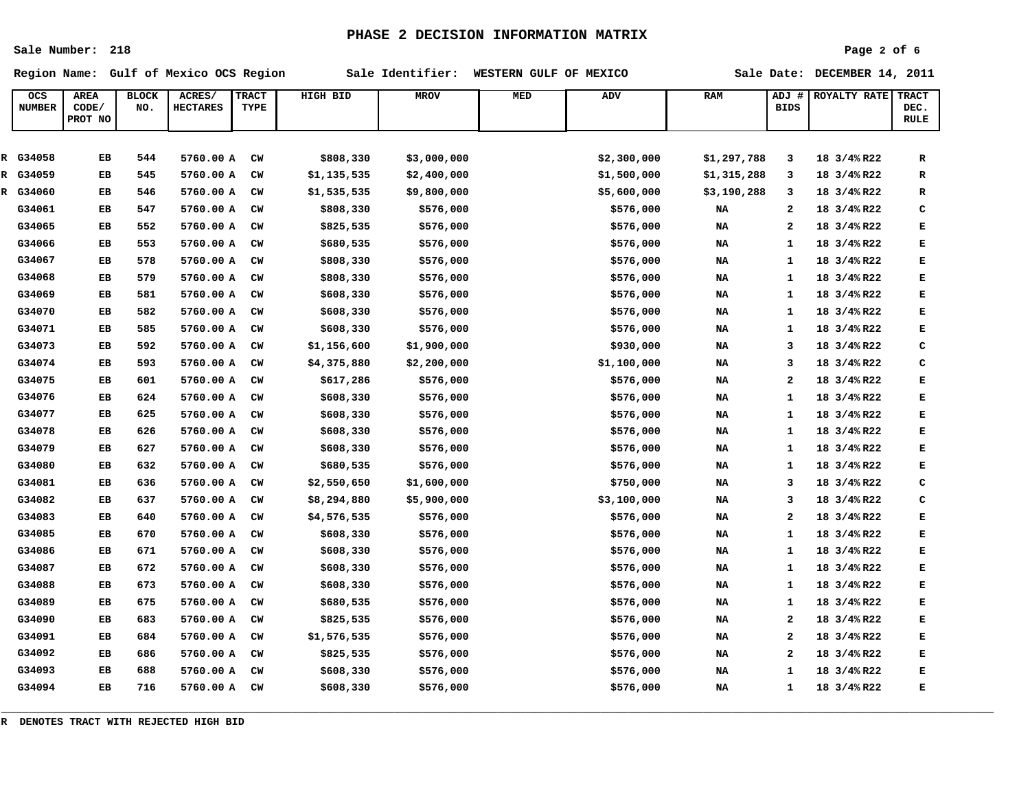**Sale Number: 218**

## **Page 2 of 6**

**Region Name: Gulf of Mexico OCS Region Sale Identifier: WESTERN GULF OF MEXICO Sale Date: DECEMBER 14, 2011**

| OCS<br><b>NUMBER</b> | <b>AREA</b><br>CODE/<br>PROT NO | <b>BLOCK</b><br>NO. | ACRES/<br><b>HECTARES</b> | <b>TRACT</b><br>TYPE | HIGH BID    | <b>MROV</b> | MED | <b>ADV</b>  | RAM         | ADJ #<br><b>BIDS</b> | <b>ROYALTY RATE</b> | <b>TRACT</b><br>DEC.<br><b>RULE</b> |
|----------------------|---------------------------------|---------------------|---------------------------|----------------------|-------------|-------------|-----|-------------|-------------|----------------------|---------------------|-------------------------------------|
|                      |                                 |                     |                           |                      |             |             |     |             |             |                      |                     |                                     |
| R G34058             | EB                              | 544                 | 5760.00 A                 | CW                   | \$808,330   | \$3,000,000 |     | \$2,300,000 | \$1,297,788 | 3                    | 18 3/4%R22          | ${\bf R}$                           |
| R G34059             | EB                              | 545                 | 5760.00 A                 | CW                   | \$1,135,535 | \$2,400,000 |     | \$1,500,000 | \$1,315,288 | 3                    | 18 3/4% R22         | R                                   |
| R G34060             | EB                              | 546                 | 5760.00 A                 | CW                   | \$1,535,535 | \$9,800,000 |     | \$5,600,000 | \$3,190,288 | 3                    | 18 3/4%R22          | ${\bf R}$                           |
| G34061               | EB                              | 547                 | 5760.00 A                 | CW                   | \$808,330   | \$576,000   |     | \$576,000   | NA          | 2                    | 18 3/4% R22         | c                                   |
| G34065               | EB                              | 552                 | 5760.00 A                 | CW                   | \$825,535   | \$576,000   |     | \$576,000   | NA          | $\mathbf{2}$         | 18 3/4% R22         | E                                   |
| G34066               | EB                              | 553                 | 5760.00 A                 | CW                   | \$680,535   | \$576,000   |     | \$576,000   | NA          | $\mathbf{1}$         | 18 3/4% R22         | E                                   |
| G34067               | EB                              | 578                 | 5760.00 A                 | CW                   | \$808,330   | \$576,000   |     | \$576,000   | NA          | 1                    | 18 3/4% R22         | E                                   |
| G34068               | EB                              | 579                 | 5760.00 A                 | CW                   | \$808,330   | \$576,000   |     | \$576,000   | <b>NA</b>   | $\mathbf{1}$         | 18 3/4% R22         | E                                   |
| G34069               | EB                              | 581                 | 5760.00 A                 | CW                   | \$608,330   | \$576,000   |     | \$576,000   | <b>NA</b>   | 1                    | 18 3/4% R22         | Е                                   |
| G34070               | EB                              | 582                 | 5760.00 A                 | CW                   | \$608,330   | \$576,000   |     | \$576,000   | NA          | $\mathbf{1}$         | 18 3/4%R22          | E                                   |
| G34071               | EB                              | 585                 | 5760.00 A                 | CW                   | \$608,330   | \$576,000   |     | \$576,000   | NA          | 1                    | 18 3/4% R22         | E                                   |
| G34073               | EB                              | 592                 | 5760.00 A                 | CW                   | \$1,156,600 | \$1,900,000 |     | \$930,000   | NA          | 3                    | 18 3/4% R22         | c                                   |
| G34074               | EB                              | 593                 | 5760.00 A                 | CW                   | \$4,375,880 | \$2,200,000 |     | \$1,100,000 | <b>NA</b>   | 3                    | 18 3/4% R22         | C                                   |
| G34075               | EB                              | 601                 | 5760.00 A                 | CW                   | \$617,286   | \$576,000   |     | \$576,000   | <b>NA</b>   | 2                    | 18 3/4% R22         | E                                   |
| G34076               | EB                              | 624                 | 5760.00 A                 | CW                   | \$608,330   | \$576,000   |     | \$576,000   | NA          | $\mathbf{1}$         | 18 3/4%R22          | E                                   |
| G34077               | EB                              | 625                 | 5760.00 A                 | CW                   | \$608,330   | \$576,000   |     | \$576,000   | NA          | $\mathbf{1}$         | 18 3/4% R22         | E                                   |
| G34078               | EB                              | 626                 | 5760.00 A                 | CW                   | \$608,330   | \$576,000   |     | \$576,000   | NA          | 1                    | 18 3/4%R22          | E                                   |
| G34079               | EB                              | 627                 | 5760.00 A                 | CW                   | \$608,330   | \$576,000   |     | \$576,000   | <b>NA</b>   | 1                    | 18 3/4% R22         | Е                                   |
| G34080               | EB                              | 632                 | 5760.00 A                 | CW                   | \$680,535   | \$576,000   |     | \$576,000   | NA          | $\mathbf{1}$         | 18 3/4%R22          | E                                   |
| G34081               | EB                              | 636                 | 5760.00 A                 | CW                   | \$2,550,650 | \$1,600,000 |     | \$750,000   | <b>NA</b>   | 3                    | 18 3/4% R22         | C                                   |
| G34082               | EB                              | 637                 | 5760.00 A                 | CW                   | \$8,294,880 | \$5,900,000 |     | \$3,100,000 | NA          | 3                    | 18 3/4% R22         | c                                   |
| G34083               | EB                              | 640                 | 5760.00 A                 | CW                   | \$4,576,535 | \$576,000   |     | \$576,000   | NA          | $\mathbf{z}$         | 18 3/4% R22         | $\mathbf{E}% _{t}$                  |
| G34085               | EB                              | 670                 | 5760.00 A                 | CW                   | \$608,330   | \$576,000   |     | \$576,000   | <b>NA</b>   | 1                    | 18 3/4% R22         | E                                   |
| G34086               | EB                              | 671                 | 5760.00 A                 | CW                   | \$608,330   | \$576,000   |     | \$576,000   | NA          | 1                    | 18 3/4%R22          | E                                   |
| G34087               | EB                              | 672                 | 5760.00 A                 | CW                   | \$608,330   | \$576,000   |     | \$576,000   | <b>NA</b>   | 1                    | 18 3/4% R22         | Е                                   |
| G34088               | EB                              | 673                 | 5760.00 A                 | CW                   | \$608,330   | \$576,000   |     | \$576,000   | NA          | $\mathbf{1}$         | 18 3/4% R22         | E                                   |
| G34089               | EB                              | 675                 | 5760.00 A                 | CW                   | \$680,535   | \$576,000   |     | \$576,000   | NA          | $\mathbf{1}$         | 18 3/4% R22         | E                                   |
| G34090               | EB                              | 683                 | 5760.00 A                 | CW                   | \$825,535   | \$576,000   |     | \$576,000   | <b>NA</b>   | 2                    | 18 3/4% R22         | E                                   |
| G34091               | EB                              | 684                 | 5760.00 A                 | CW                   | \$1,576,535 | \$576,000   |     | \$576,000   | <b>NA</b>   | $\mathbf{z}$         | 18 3/4%R22          | E                                   |
| G34092               | EB                              | 686                 | 5760.00 A                 | CW                   | \$825,535   | \$576,000   |     | \$576,000   | NA          | 2                    | 18 3/4% R22         | Е                                   |
| G34093               | EB                              | 688                 | 5760.00 A                 | CW                   | \$608,330   | \$576,000   |     | \$576,000   | <b>NA</b>   | $\mathbf{1}$         | 18 3/4% R22         | E                                   |
| G34094               | EB                              | 716                 | 5760.00 A                 | CW                   | \$608,330   | \$576,000   |     | \$576,000   | NA          | 1                    | 18 3/4% R22         | E                                   |

**\_\_\_\_\_\_\_\_\_\_\_\_\_\_\_\_\_\_\_\_\_\_\_\_\_\_\_\_\_\_\_\_\_\_\_\_\_\_\_\_\_\_\_\_\_\_\_\_\_\_\_\_\_\_\_\_\_\_\_\_\_\_\_\_\_\_\_\_\_\_\_\_\_\_\_\_\_\_\_\_\_\_\_\_\_\_\_\_\_\_\_\_\_\_\_\_\_\_\_\_\_\_\_\_\_\_**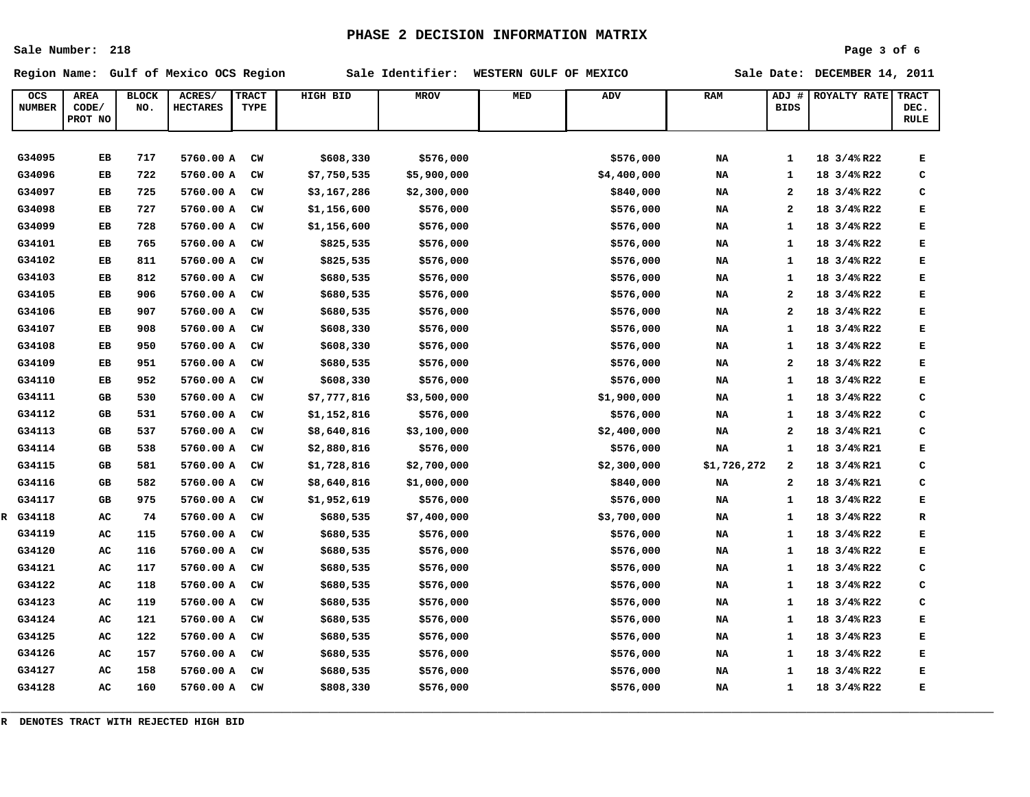**Sale Number: 218**

### **Page 3 of 6**

**Region Name: Gulf of Mexico OCS Region Sale Identifier: WESTERN GULF OF MEXICO Sale Date: DECEMBER 14, 2011**

| OCS<br><b>NUMBER</b> | <b>AREA</b><br>CODE/ | <b>BLOCK</b><br>NO. | ACRES/<br><b>HECTARES</b> | <b>TRACT</b><br>TYPE | HIGH BID    | <b>MROV</b> | MED | <b>ADV</b>  | <b>RAM</b>  | ADJ #<br><b>BIDS</b>    | ROYALTY RATE | <b>TRACT</b><br>DEC. |
|----------------------|----------------------|---------------------|---------------------------|----------------------|-------------|-------------|-----|-------------|-------------|-------------------------|--------------|----------------------|
|                      | PROT NO              |                     |                           |                      |             |             |     |             |             |                         |              | RULE                 |
|                      |                      |                     |                           |                      |             |             |     |             |             |                         |              |                      |
| G34095               | EB                   | 717                 | 5760.00 A                 | CW                   | \$608,330   | \$576,000   |     | \$576,000   | NA          | $\mathbf{1}$            | 18 3/4% R22  | E                    |
| G34096               | EB                   | 722                 | 5760.00 A                 | CW                   | \$7,750,535 | \$5,900,000 |     | \$4,400,000 | NA          | 1                       | 18 3/4% R22  | c                    |
| G34097               | EB                   | 725                 | 5760.00 A                 | CW                   | \$3,167,286 | \$2,300,000 |     | \$840,000   | NA          | $\overline{\mathbf{2}}$ | 18 3/4% R22  | c                    |
| G34098               | EB                   | 727                 | 5760.00 A                 | CW                   | \$1,156,600 | \$576,000   |     | \$576,000   | NA          | $\mathbf{z}$            | 18 3/4% R22  | E                    |
| G34099               | EB                   | 728                 | 5760.00 A                 | CW                   | \$1,156,600 | \$576,000   |     | \$576,000   | NA          | 1                       | 18 3/4% R22  | Е                    |
| G34101               | EB                   | 765                 | 5760.00 A                 | CW                   | \$825,535   | \$576,000   |     | \$576,000   | NA          | $\mathbf{1}$            | 18 3/4% R22  | Е                    |
| G34102               | EB                   | 811                 | 5760.00 A                 | CW                   | \$825,535   | \$576,000   |     | \$576,000   | NA          | 1                       | 18 3/4% R22  | Е                    |
| G34103               | EB                   | 812                 | 5760.00 A                 | CW                   | \$680,535   | \$576,000   |     | \$576,000   | NA          | 1                       | 18 3/4% R22  | Е                    |
| G34105               | EB                   | 906                 | 5760.00 A                 | CW                   | \$680,535   | \$576,000   |     | \$576,000   | NA          | $\bf{2}$                | 18 3/4% R22  | Е                    |
| G34106               | EB                   | 907                 | 5760.00 A                 | CW                   | \$680,535   | \$576,000   |     | \$576,000   | NA          | 2                       | 18 3/4% R22  | Е                    |
| G34107               | EB                   | 908                 | 5760.00 A                 | CW                   | \$608,330   | \$576,000   |     | \$576,000   | NA          | $\mathbf{1}$            | 18 3/4% R22  | Е                    |
| G34108               | EB                   | 950                 | 5760.00 A                 | CW                   | \$608,330   | \$576,000   |     | \$576,000   | NA          | 1                       | 18 3/4% R22  | Е                    |
| G34109               | EB                   | 951                 | 5760.00 A                 | CW                   | \$680,535   | \$576,000   |     | \$576,000   | NA          | 2                       | 18 3/4% R22  | E                    |
| G34110               | EB                   | 952                 | 5760.00 A                 | CW                   | \$608,330   | \$576,000   |     | \$576,000   | NA          | $\mathbf{1}$            | 18 3/4% R22  | E                    |
| G34111               | GB                   | 530                 | 5760.00 A                 | CW                   | \$7,777,816 | \$3,500,000 |     | \$1,900,000 | NA          | 1                       | 18 3/4% R22  | c                    |
| G34112               | GB                   | 531                 | 5760.00 A                 | $cm$                 | \$1,152,816 | \$576,000   |     | \$576,000   | NA          | $\mathbf{1}$            | 18 3/4% R22  | C                    |
| G34113               | GB                   | 537                 | 5760.00 A                 | CW                   | \$8,640,816 | \$3,100,000 |     | \$2,400,000 | NA          | $\mathbf{z}$            | 18 3/4% R21  | C                    |
| G34114               | GB                   | 538                 | 5760.00 A                 | CW                   | \$2,880,816 | \$576,000   |     | \$576,000   | NA          | $\mathbf{1}$            | 18 3/4% R21  | Е                    |
| G34115               | GB                   | 581                 | 5760.00 A                 | CW                   | \$1,728,816 | \$2,700,000 |     | \$2,300,000 | \$1,726,272 | $\mathbf{2}$            | 18 3/4% R21  | C                    |
| G34116               | GB                   | 582                 | 5760.00 A                 | CW                   | \$8,640,816 | \$1,000,000 |     | \$840,000   | NA          | 2                       | 18 3/4% R21  | c                    |
| G34117               | GB                   | 975                 | 5760.00 A                 | $cm$                 | \$1,952,619 | \$576,000   |     | \$576,000   | NA          | $\mathbf{1}$            | 18 3/4% R22  | Е                    |
| R G34118             | AC                   | 74                  | 5760.00 A                 | CW                   | \$680,535   | \$7,400,000 |     | \$3,700,000 | NA          | 1                       | 18 3/4% R22  | R                    |
| G34119               | AC                   | 115                 | 5760.00 A                 | CW                   | \$680,535   | \$576,000   |     | \$576,000   | NA          | 1                       | 18 3/4% R22  | Е                    |
| G34120               | AC                   | 116                 | 5760.00 A                 | CW                   | \$680,535   | \$576,000   |     | \$576,000   | NA          | $\mathbf{1}$            | 18 3/4% R22  | E                    |
| G34121               | AC                   | 117                 | 5760.00 A                 | CW                   | \$680,535   | \$576,000   |     | \$576,000   | NA          | 1                       | 18 3/4% R22  | C                    |
| G34122               | AC                   | 118                 | 5760.00 A                 | CW                   | \$680,535   | \$576,000   |     | \$576,000   | NA          | $\mathbf{1}$            | 18 3/4% R22  | C                    |
| G34123               | AC                   | 119                 | 5760.00 A                 | CW                   | \$680,535   | \$576,000   |     | \$576,000   | NA          | 1                       | 18 3/4% R22  | C                    |
| G34124               | AC                   | 121                 | 5760.00 A                 | CW                   | \$680,535   | \$576,000   |     | \$576,000   | NA          | 1                       | 18 3/4% R23  | Е                    |
| G34125               | AC                   | 122                 | 5760.00 A                 | CW                   | \$680,535   | \$576,000   |     | \$576,000   | NA          | $\mathbf{1}$            | 18 3/4% R23  | E                    |
| G34126               | AC                   | 157                 | 5760.00 A                 | CW                   | \$680,535   | \$576,000   |     | \$576,000   | NA          | 1                       | 18 3/4% R22  | Е                    |
| G34127               | AC                   | 158                 | 5760.00 A                 | CW                   | \$680,535   | \$576,000   |     | \$576,000   | NA          | $\mathbf{1}$            | 18 3/4% R22  | E                    |
| G34128               | AC                   | 160                 | 5760.00 A                 | CW                   | \$808,330   | \$576,000   |     | \$576,000   | NA          | $\mathbf{1}$            | 18 3/4% R22  | Е                    |

**\_\_\_\_\_\_\_\_\_\_\_\_\_\_\_\_\_\_\_\_\_\_\_\_\_\_\_\_\_\_\_\_\_\_\_\_\_\_\_\_\_\_\_\_\_\_\_\_\_\_\_\_\_\_\_\_\_\_\_\_\_\_\_\_\_\_\_\_\_\_\_\_\_\_\_\_\_\_\_\_\_\_\_\_\_\_\_\_\_\_\_\_\_\_\_\_\_\_\_\_\_\_\_\_\_\_**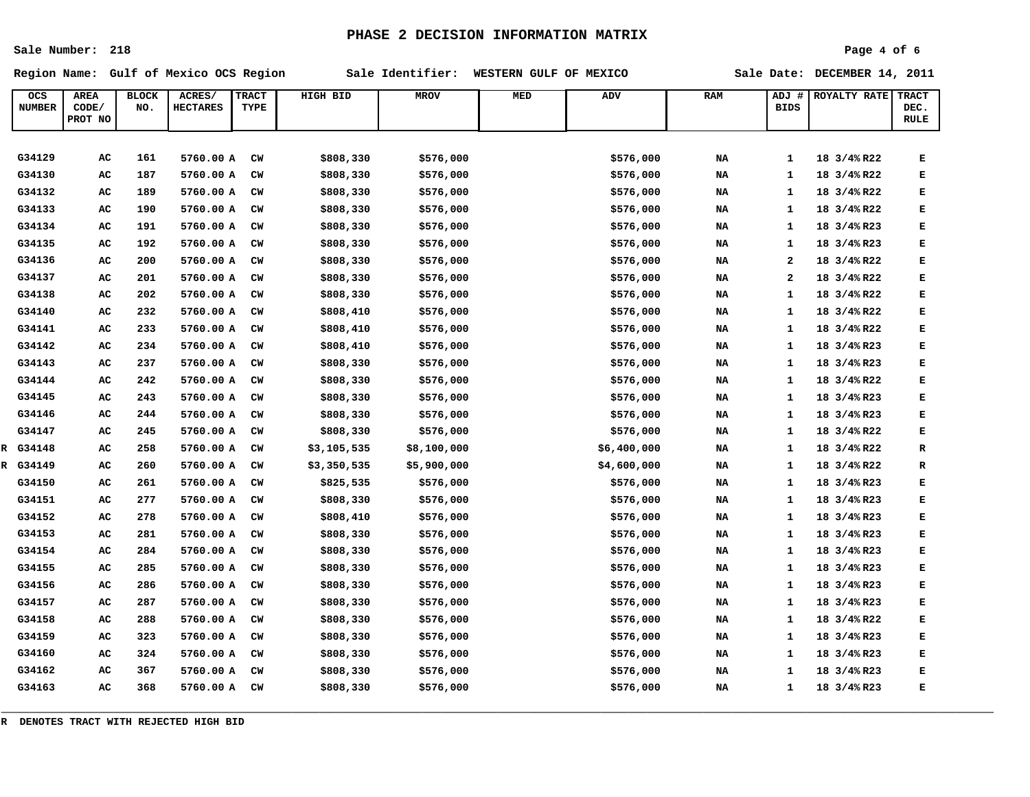**Sale Number: 218**

### **Page 4 of 6**

**Region Name: Gulf of Mexico OCS Region Sale Identifier: WESTERN GULF OF MEXICO Sale Date: DECEMBER 14, 2011**

| OCS           | <b>AREA</b> | <b>BLOCK</b> | ACRES/          | <b>TRACT</b> | HIGH BID    | <b>MROV</b> | MED | ADV         | <b>RAM</b> | ADJ #                   | <b>ROYALTY RATE</b> | <b>TRACT</b> |
|---------------|-------------|--------------|-----------------|--------------|-------------|-------------|-----|-------------|------------|-------------------------|---------------------|--------------|
| <b>NUMBER</b> | CODE/       | NO.          | <b>HECTARES</b> | TYPE         |             |             |     |             |            | <b>BIDS</b>             |                     | DEC.         |
|               | PROT NO     |              |                 |              |             |             |     |             |            |                         |                     | <b>RULE</b>  |
|               |             |              |                 |              |             |             |     |             |            |                         |                     |              |
| G34129        | AC          | 161          | 5760.00 A       | CW           | \$808,330   | \$576,000   |     | \$576,000   | NA         | 1                       | 18 3/4% R22         | Е            |
| G34130        | AC          | 187          | 5760.00 A       | CW           | \$808,330   | \$576,000   |     | \$576,000   | NA         | $\mathbf{1}$            | 18 3/4% R22         | E            |
| G34132        | AC          | 189          | 5760.00 A       | CW           | \$808,330   | \$576,000   |     | \$576,000   | NA         | 1                       | 18 3/4% R22         | Е            |
| G34133        | AC          | 190          | 5760.00 A       | $cm$         | \$808,330   | \$576,000   |     | \$576,000   | NA         | 1                       | 18 3/4% R22         | Е            |
| G34134        | AC          | 191          | 5760.00 A       | CW           | \$808,330   | \$576,000   |     | \$576,000   | NA         | 1                       | 18 3/4% R23         | Е            |
| G34135        | AC          | 192          | 5760.00 A       | CW           | \$808,330   | \$576,000   |     | \$576,000   | NA         | 1                       | 18 3/4% R23         | Е            |
| G34136        | AC          | 200          | 5760.00 A       | CW           | \$808,330   | \$576,000   |     | \$576,000   | NA         | $\overline{\mathbf{2}}$ | 18 3/4% R22         | Е            |
| G34137        | AC          | 201          | 5760.00 A       | CW           | \$808,330   | \$576,000   |     | \$576,000   | NA         | $\mathbf{z}$            | 18 3/4% R22         | Е            |
| G34138        | AC          | 202          | 5760.00 A       | CW           | \$808,330   | \$576,000   |     | \$576,000   | NA         | 1                       | 18 3/4% R22         | Е            |
| G34140        | AC          | 232          | 5760.00 A       | CW           | \$808,410   | \$576,000   |     | \$576,000   | NA         | $\mathbf{1}$            | 18 3/4% R22         | Е            |
| G34141        | AC          | 233          | 5760.00 A       | CW           | \$808,410   | \$576,000   |     | \$576,000   | NA         | $\mathbf{1}$            | 18 3/4% R22         | E            |
| G34142        | AC          | 234          | 5760.00 A       | CW           | \$808,410   | \$576,000   |     | \$576,000   | NA         | 1                       | 18 3/4% R23         | Е            |
| G34143        | AC          | 237          | 5760.00 A       | CW           | \$808,330   | \$576,000   |     | \$576,000   | NA         | 1                       | 18 3/4% R23         | Е            |
| G34144        | AC          | 242          | 5760.00 A       | $cm$         | \$808,330   | \$576,000   |     | \$576,000   | NA         | $\mathbf{1}$            | 18 3/4% R22         | E            |
| G34145        | AC          | 243          | 5760.00 A       | CW           | \$808,330   | \$576,000   |     | \$576,000   | NA         | 1                       | 18 3/4% R23         | Е            |
| G34146        | AC          | 244          | 5760.00 A       | $cm$         | \$808,330   | \$576,000   |     | \$576,000   | NA         | $\mathbf{1}$            | 18 3/4% R23         | E            |
| G34147        | AC          | 245          | 5760.00 A       | CW           | \$808,330   | \$576,000   |     | \$576,000   | NA         | $\mathbf{1}$            | 18 3/4% R22         | E            |
| R G34148      | AC          | 258          | 5760.00 A       | CW           | \$3,105,535 | \$8,100,000 |     | \$6,400,000 | NA         | 1                       | 18 3/4% R22         | R            |
| R G34149      | AC          | 260          | 5760.00 A       | CW           | \$3,350,535 | \$5,900,000 |     | \$4,600,000 | NA         | $\mathbf{1}$            | 18 3/4% R22         | R            |
| G34150        | AC          | 261          | 5760.00 A       | $cm$         | \$825,535   | \$576,000   |     | \$576,000   | NA         | $\mathbf{1}$            | 18 3/4% R23         | E            |
| G34151        | AC          | 277          | 5760.00 A       | CW           | \$808,330   | \$576,000   |     | \$576,000   | NA         | 1                       | 18 3/4% R23         | E            |
| G34152        | AC          | 278          | 5760.00 A       | CW           | \$808,410   | \$576,000   |     | \$576,000   | NA         | 1                       | 18 3/4% R23         | E            |
| G34153        | AC          | 281          | 5760.00 A       | CW           | \$808,330   | \$576,000   |     | \$576,000   | NA         | 1                       | 18 3/4% R23         | Е            |
| G34154        | AC          | 284          | 5760.00 A       | CW           | \$808,330   | \$576,000   |     | \$576,000   | NA         | 1                       | 18 3/4% R23         | Е            |
| G34155        | AC          | 285          | 5760.00 A       | CW           | \$808,330   | \$576,000   |     | \$576,000   | NA         | 1                       | 18 3/4% R23         | Е            |
| G34156        | AC          | 286          | 5760.00 A       | CW           | \$808,330   | \$576,000   |     | \$576,000   | NA         | 1                       | 18 3/4% R23         | Е            |
| G34157        | AC          | 287          | 5760.00 A       | CW           | \$808,330   | \$576,000   |     | \$576,000   | NA         | 1                       | 18 3/4% R23         | Е            |
| G34158        | AC          | 288          | 5760.00 A       | $cm$         | \$808,330   | \$576,000   |     | \$576,000   | NA         | $\mathbf{1}$            | 18 3/4% R22         | E            |
| G34159        | AC          | 323          | 5760.00 A       | CW           | \$808,330   | \$576,000   |     | \$576,000   | NA         | 1                       | 18 3/4% R23         | Е            |
| G34160        | AC          | 324          | 5760.00 A       | CW           | \$808,330   | \$576,000   |     | \$576,000   | NA         | 1                       | 18 3/4% R23         | Е            |
| G34162        | AC          | 367          | 5760.00 A       | $cm$         | \$808,330   | \$576,000   |     | \$576,000   | NA         | $\mathbf{1}$            | 18 3/4% R23         | E            |
| G34163        | AC          | 368          | 5760.00 A       | CW           | \$808,330   | \$576,000   |     | \$576,000   | NA         | $\mathbf{1}$            | 18 3/4% R23         | Е            |

**\_\_\_\_\_\_\_\_\_\_\_\_\_\_\_\_\_\_\_\_\_\_\_\_\_\_\_\_\_\_\_\_\_\_\_\_\_\_\_\_\_\_\_\_\_\_\_\_\_\_\_\_\_\_\_\_\_\_\_\_\_\_\_\_\_\_\_\_\_\_\_\_\_\_\_\_\_\_\_\_\_\_\_\_\_\_\_\_\_\_\_\_\_\_\_\_\_\_\_\_\_\_\_\_\_\_**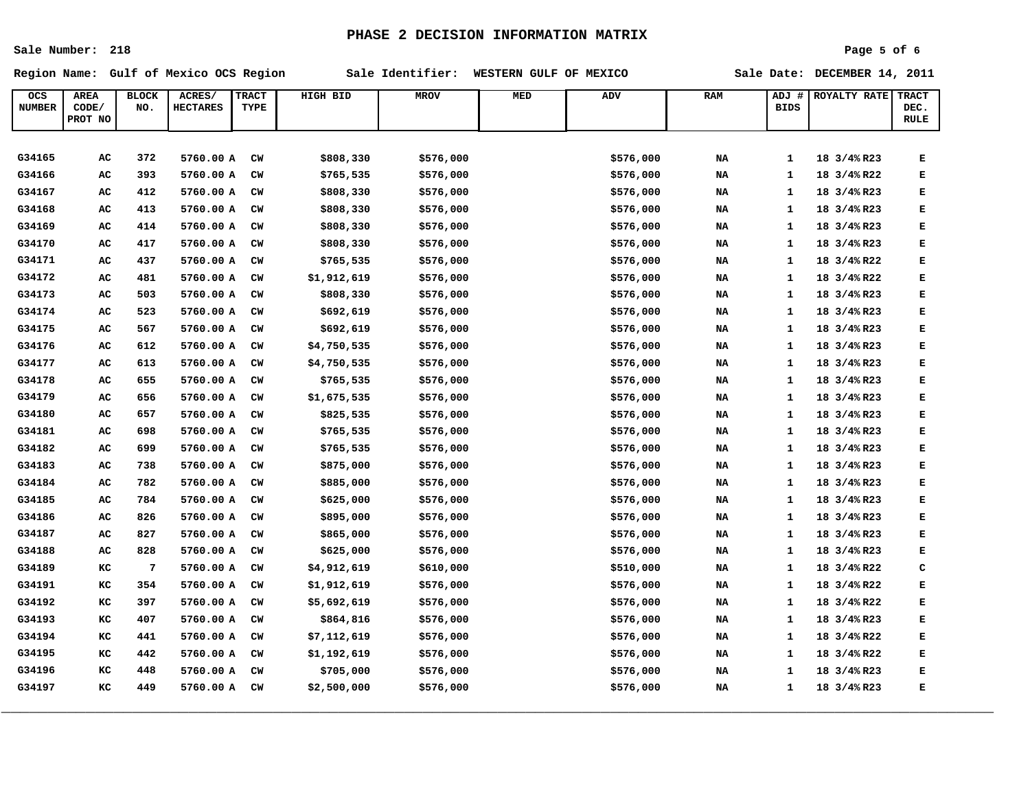**Sale Number: 218**

### **Page 5 of 6**

**Region Name: Gulf of Mexico OCS Region Sale Identifier: WESTERN GULF OF MEXICO Sale Date: DECEMBER 14, 2011**

| ocs              | <b>AREA</b>      | <b>BLOCK</b> | ACRES/          | <b>TRACT</b> | HIGH BID    | <b>MROV</b> | <b>MED</b> | <b>ADV</b> | <b>RAM</b> | ADJ<br>#     | ROYALTY RATE | <b>TRACT</b> |
|------------------|------------------|--------------|-----------------|--------------|-------------|-------------|------------|------------|------------|--------------|--------------|--------------|
| <b>NUMBER</b>    | CODE/<br>PROT NO | NO.          | <b>HECTARES</b> | TYPE         |             |             |            |            |            | <b>BIDS</b>  |              | DEC.<br>RULE |
|                  |                  |              |                 |              |             |             |            |            |            |              |              |              |
|                  |                  |              |                 |              |             |             |            |            |            |              |              |              |
| G34165<br>G34166 | AC               | 372          | 5760.00 A       | CW           | \$808,330   | \$576,000   |            | \$576,000  | NA         | $\mathbf{1}$ | 18 3/4% R23  | Е            |
|                  | AC               | 393          | 5760.00 A       | CW           | \$765,535   | \$576,000   |            | \$576,000  | NA         | 1            | 18 3/4% R22  | Е            |
| G34167           | AC               | 412          | 5760.00 A       | CW           | \$808,330   | \$576,000   |            | \$576,000  | NA         | $\mathbf{1}$ | 18 3/4% R23  | Е            |
| G34168           | AC               | 413          | 5760.00 A       | <b>CW</b>    | \$808,330   | \$576,000   |            | \$576,000  | NA         | $\mathbf{1}$ | 18 3/4% R23  | Е            |
| G34169           | AC               | 414          | 5760.00 A       | CW           | \$808,330   | \$576,000   |            | \$576,000  | NA         | 1            | 18 3/4% R23  | Е            |
| G34170           | AC               | 417          | 5760.00 A       | CW           | \$808,330   | \$576,000   |            | \$576,000  | NA         | $\mathbf{1}$ | 18 3/4% R23  | Е            |
| G34171           | AC               | 437          | 5760.00 A       | CW           | \$765,535   | \$576,000   |            | \$576,000  | NA         | 1            | 18 3/4% R22  | Е            |
| G34172           | AC               | 481          | 5760.00 A       | <b>CW</b>    | \$1,912,619 | \$576,000   |            | \$576,000  | NA         | $\mathbf{1}$ | 18 3/4% R22  | Е            |
| G34173           | AC               | 503          | 5760.00 A       | CW           | \$808,330   | \$576,000   |            | \$576,000  | NA         | 1            | 18 3/4% R23  | Е            |
| G34174           | AC               | 523          | 5760.00 A       | CW           | \$692,619   | \$576,000   |            | \$576,000  | NA         | $\mathbf{1}$ | 18 3/4% R23  | Е            |
| G34175           | AC               | 567          | 5760.00 A       | CW           | \$692,619   | \$576,000   |            | \$576,000  | NA         | 1            | 18 3/4% R23  | E            |
| G34176           | AC               | 612          | 5760.00 A       | CW           | \$4,750,535 | \$576,000   |            | \$576,000  | NA         | $\mathbf{1}$ | 18 3/4% R23  | Е            |
| G34177           | AC               | 613          | 5760.00 A       | <b>CW</b>    | \$4,750,535 | \$576,000   |            | \$576,000  | NA         | 1            | 18 3/4% R23  | Е            |
| G34178           | AC               | 655          | 5760.00 A       | CW           | \$765,535   | \$576,000   |            | \$576,000  | NA         | 1            | 18 3/4% R23  | Е            |
| G34179           | AC               | 656          | 5760.00 A       | <b>CW</b>    | \$1,675,535 | \$576,000   |            | \$576,000  | NA         | 1            | 18 3/4% R23  | Е            |
| G34180           | AC               | 657          | 5760.00 A       | CW           | \$825,535   | \$576,000   |            | \$576,000  | NA         | $\mathbf{1}$ | 18 3/4% R23  | Е            |
| G34181           | AC               | 698          | 5760.00 A       | CW           | \$765,535   | \$576,000   |            | \$576,000  | NA         | $\mathbf{1}$ | 18 3/4% R23  | E            |
| G34182           | AC               | 699          | 5760.00 A       | CW           | \$765,535   | \$576,000   |            | \$576,000  | NA         | 1            | 18 3/4% R23  | Е            |
| G34183           | AC               | 738          | 5760.00 A       | CW           | \$875,000   | \$576,000   |            | \$576,000  | NA         | 1            | 18 3/4% R23  | E            |
| G34184           | AC               | 782          | 5760.00 A       | CW           | \$885,000   | \$576,000   |            | \$576,000  | NA         | 1            | 18 3/4% R23  | Е            |
| G34185           | AC               | 784          | 5760.00 A       | CW           | \$625,000   | \$576,000   |            | \$576,000  | NA         | 1            | 18 3/4% R23  | Е            |
| G34186           | AC               | 826          | 5760.00 A       | CW           | \$895,000   | \$576,000   |            | \$576,000  | NA         | 1            | 18 3/4% R23  | Е            |
| G34187           | AC               | 827          | 5760.00 A       | CW           | \$865,000   | \$576,000   |            | \$576,000  | NA         | 1            | 18 3/4% R23  | Е            |
| G34188           | AC               | 828          | 5760.00 A       | <b>CW</b>    | \$625,000   | \$576,000   |            | \$576,000  | NA         | $\mathbf{1}$ | 18 3/4% R23  | E            |
| G34189           | кC               | 7            | 5760.00 A       | CW           | \$4,912,619 | \$610,000   |            | \$510,000  | NA         | 1            | 18 3/4% R22  | c            |
| G34191           | кC               | 354          | 5760.00 A       | CW           | \$1,912,619 | \$576,000   |            | \$576,000  | NA         | $\mathbf{1}$ | 18 3/4% R22  | E            |
| G34192           | кC               | 397          | 5760.00 A       | CW           | \$5,692,619 | \$576,000   |            | \$576,000  | NA         | 1            | 18 3/4% R22  | Е            |
| G34193           | кC               | 407          | 5760.00 A       | CW           | \$864,816   | \$576,000   |            | \$576,000  | NA         | 1            | 18 3/4% R23  | E            |
| G34194           | кC               | 441          | 5760.00 A       | CW           | \$7,112,619 | \$576,000   |            | \$576,000  | NA         | 1            | 18 3/4% R22  | Е            |
| G34195           | кC               | 442          | 5760.00 A       | CW           | \$1,192,619 | \$576,000   |            | \$576,000  | NA         | $\mathbf{1}$ | 18 3/4% R22  | Е            |
| G34196           | кC               | 448          | 5760.00 A       | <b>CW</b>    | \$705,000   | \$576,000   |            | \$576,000  | NA         | 1            | 18 3/4% R23  | Е            |
| G34197           | кC               | 449          | 5760.00 A       | CW           | \$2,500,000 | \$576,000   |            | \$576,000  | NA         | $\mathbf{1}$ | 18 3/4% R23  | E            |